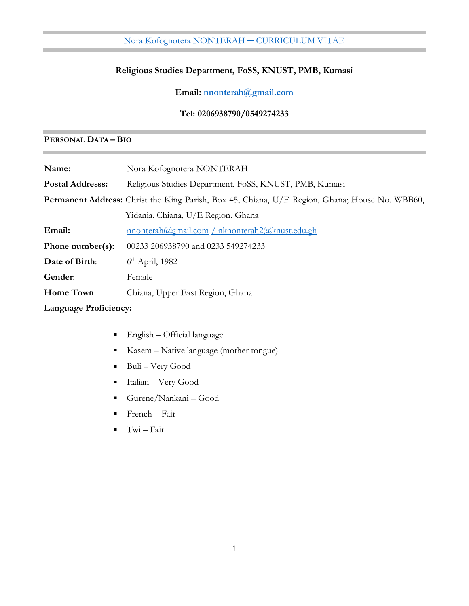# **Religious Studies Department, FoSS, KNUST, PMB, Kumasi**

**Email: [nnonterah@gmail.com](mailto:nnonterah@gmail.com)**

**Tel: 0206938790/0549274233**

# **PERSONAL DATA – BIO**

| Name:                        | Nora Kofognotera NONTERAH                                                                             |
|------------------------------|-------------------------------------------------------------------------------------------------------|
| <b>Postal Addresss:</b>      | Religious Studies Department, FoSS, KNUST, PMB, Kumasi                                                |
|                              | <b>Permanent Address:</b> Christ the King Parish, Box 45, Chiana, U/E Region, Ghana; House No. WBB60, |
|                              | Yidania, Chiana, U/E Region, Ghana                                                                    |
| Email:                       | <u>nnonterah@gmail.com / nknonterah2@knust.edu.gh</u>                                                 |
| Phone number(s):             | 00233 206938790 and 0233 549274233                                                                    |
| Date of Birth:               | $6th$ April, 1982                                                                                     |
| Gender:                      | Female                                                                                                |
| Home Town:                   | Chiana, Upper East Region, Ghana                                                                      |
| <b>Language Proficiency:</b> |                                                                                                       |

- English Official language  $\blacksquare$
- Kasem Native language (mother tongue) п
- Buli Very Good  $\blacksquare$
- Italian Very Good  $\blacksquare$
- Gurene/Nankani Good
- French Fair
- Twi Fair $\blacksquare$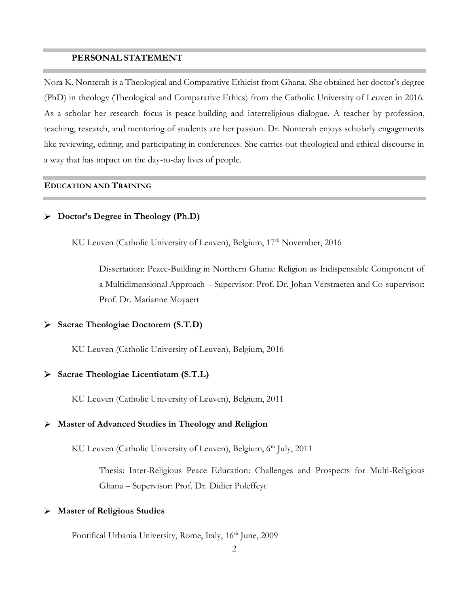#### **PERSONAL STATEMENT**

Nora K. Nonterah is a Theological and Comparative Ethicist from Ghana. She obtained her doctor's degree (PhD) in theology (Theological and Comparative Ethics) from the Catholic University of Leuven in 2016. As a scholar her research focus is peace-building and interreligious dialogue. A teacher by profession, teaching, research, and mentoring of students are her passion. Dr. Nonterah enjoys scholarly engagements like reviewing, editing, and participating in conferences. She carries out theological and ethical discourse in a way that has impact on the day-to-day lives of people.

#### **EDUCATION AND TRAINING**

## **Doctor's Degree in Theology (Ph.D)**

KU Leuven (Catholic University of Leuven), Belgium, 17<sup>th</sup> November, 2016

Dissertation: Peace-Building in Northern Ghana: Religion as Indispensable Component of a Multidimensional Approach – Supervisor: Prof. Dr. Johan Verstraeten and Co-supervisor: Prof. Dr. Marianne Moyaert

#### **Sacrae Theologiae Doctorem (S.T.D)**

KU Leuven (Catholic University of Leuven), Belgium, 2016

### **Sacrae Theologiae Licentiatam (S.T.L)**

KU Leuven (Catholic University of Leuven), Belgium, 2011

#### **Master of Advanced Studies in Theology and Religion**

KU Leuven (Catholic University of Leuven), Belgium,  $6<sup>th</sup>$  July, 2011

Thesis: Inter-Religious Peace Education: Challenges and Prospects for Multi-Religious Ghana – Supervisor: Prof. Dr. Didier Poleffeyt

#### **Master of Religious Studies** ➤

Pontifical Urbania University, Rome, Italy, 16<sup>th</sup> June, 2009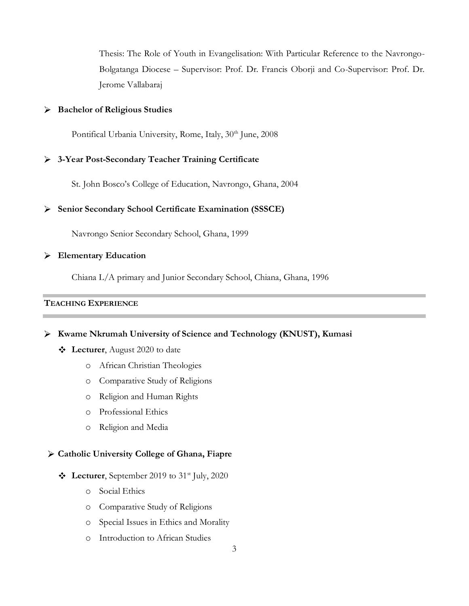Thesis: The Role of Youth in Evangelisation: With Particular Reference to the Navrongo-Bolgatanga Diocese – Supervisor: Prof. Dr. Francis Oborji and Co-Supervisor: Prof. Dr. Jerome Vallabaraj

## **Bachelor of Religious Studies**

Pontifical Urbania University, Rome, Italy, 30<sup>th</sup> June, 2008

### **3-Year Post-Secondary Teacher Training Certificate**

St. John Bosco's College of Education, Navrongo, Ghana, 2004

#### **Senior Secondary School Certificate Examination (SSSCE)**

Navrongo Senior Secondary School, Ghana, 1999

#### **Elementary Education**

Chiana L/A primary and Junior Secondary School, Chiana, Ghana, 1996

# **TEACHING EXPERIENCE**

**Kwame Nkrumah University of Science and Technology (KNUST), Kumasi**

- **Lecturer**, August 2020 to date
	- o African Christian Theologies
	- o Comparative Study of Religions
	- o Religion and Human Rights
	- o Professional Ethics
	- o Religion and Media

#### **Catholic University College of Ghana, Fiapre**

- **Lecturer**, September 2019 to 31st July, 2020
	- o Social Ethics
	- o Comparative Study of Religions
	- o Special Issues in Ethics and Morality
	- o Introduction to African Studies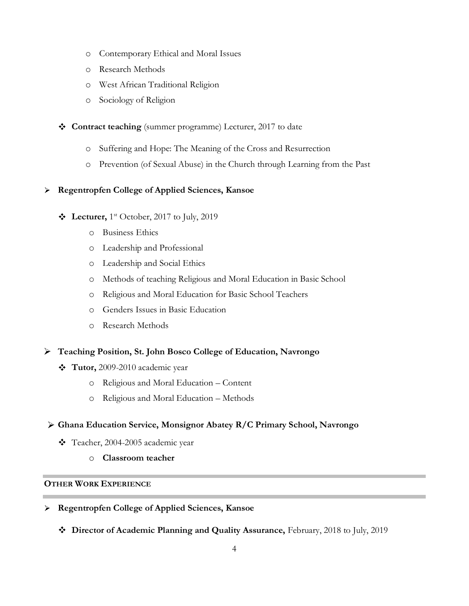- o Contemporary Ethical and Moral Issues
- o Research Methods
- o West African Traditional Religion
- o Sociology of Religion
- **Contract teaching** (summer programme) Lecturer, 2017 to date
	- o Suffering and Hope: The Meaning of the Cross and Resurrection
	- o Prevention (of Sexual Abuse) in the Church through Learning from the Past

# **Regentropfen College of Applied Sciences, Kansoe**

- **Lecturer,** 1<sup>st</sup> October, 2017 to July, 2019
	- o Business Ethics
	- o Leadership and Professional
	- o Leadership and Social Ethics
	- o Methods of teaching Religious and Moral Education in Basic School
	- o Religious and Moral Education for Basic School Teachers
	- o Genders Issues in Basic Education
	- o Research Methods
- **Teaching Position, St. John Bosco College of Education, Navrongo**
	- **Tutor,** 2009-2010 academic year
		- o Religious and Moral Education Content
		- o Religious and Moral Education Methods
- **Ghana Education Service, Monsignor Abatey R/C Primary School, Navrongo** 
	- Teacher, 2004-2005 academic year
		- o **Classroom teacher**

# **OTHER WORK EXPERIENCE**

- **Regentropfen College of Applied Sciences, Kansoe** 
	- **Director of Academic Planning and Quality Assurance,** February, 2018 to July, 2019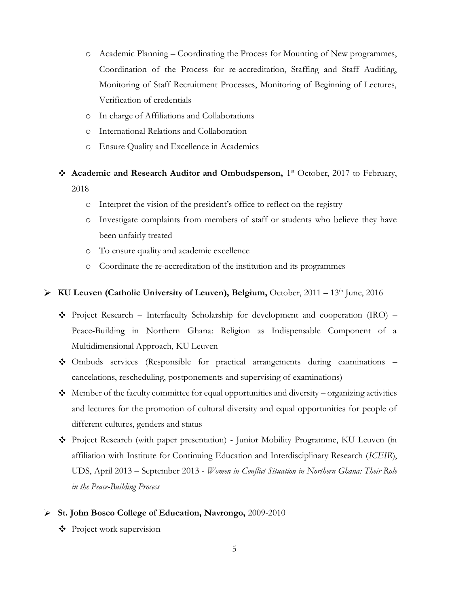- o Academic Planning Coordinating the Process for Mounting of New programmes, Coordination of the Process for re-accreditation, Staffing and Staff Auditing, Monitoring of Staff Recruitment Processes, Monitoring of Beginning of Lectures, Verification of credentials
- o In charge of Affiliations and Collaborations
- o International Relations and Collaboration
- o Ensure Quality and Excellence in Academics
- Academic and Research Auditor and Ombudsperson, 1<sup>st</sup> October, 2017 to February, 2018
	- o Interpret the vision of the president's office to reflect on the registry
	- o Investigate complaints from members of staff or students who believe they have been unfairly treated
	- o To ensure quality and academic excellence
	- o Coordinate the re-accreditation of the institution and its programmes

# ▶ KU Leuven (Catholic University of Leuven), Belgium, October, 2011 – 13<sup>th</sup> June, 2016

- $\bullet$  Project Research Interfaculty Scholarship for development and cooperation (IRO) Peace-Building in Northern Ghana: Religion as Indispensable Component of a Multidimensional Approach, KU Leuven
- Ombuds services (Responsible for practical arrangements during examinations cancelations, rescheduling, postponements and supervising of examinations)
- $\bullet$  Member of the faculty committee for equal opportunities and diversity organizing activities and lectures for the promotion of cultural diversity and equal opportunities for people of different cultures, genders and status
- Project Research (with paper presentation) Junior Mobility Programme, KU Leuven (in affiliation with Institute for Continuing Education and Interdisciplinary Research (*ICEIR*), UDS, April 2013 – September 2013 - *Women in Conflict Situation in Northern Ghana: Their Role in the Peace-Building Process*

#### **St. John Bosco College of Education, Navrongo,** 2009-2010

Project work supervision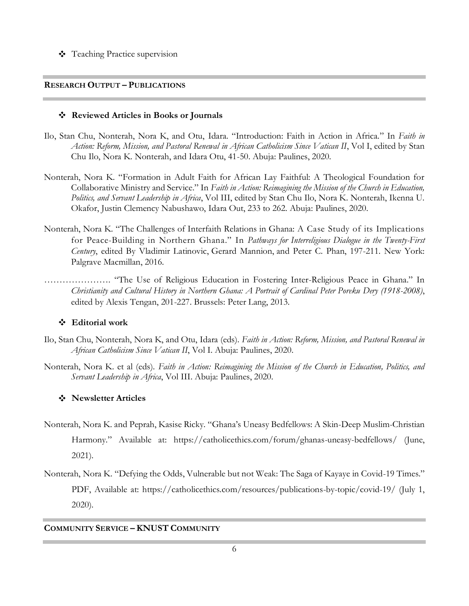Teaching Practice supervision

## **RESEARCH OUTPUT – PUBLICATIONS**

# **Reviewed Articles in Books or Journals**

- Ilo, Stan Chu, Nonterah, Nora K, and Otu, Idara. "Introduction: Faith in Action in Africa." In *Faith in Action: Reform, Mission, and Pastoral Renewal in African Catholicism Since Vatican II*, Vol I, edited by Stan Chu Ilo, Nora K. Nonterah, and Idara Otu, 41-50. Abuja: Paulines, 2020.
- Nonterah, Nora K. "Formation in Adult Faith for African Lay Faithful: A Theological Foundation for Collaborative Ministry and Service." In *Faith in Action: Reimagining the Mission of the Church in Education, Politics, and Servant Leadership in Africa*, Vol III, edited by Stan Chu Ilo, Nora K. Nonterah, Ikenna U. Okafor, Justin Clemency Nabushawo, Idara Out, 233 to 262. Abuja: Paulines, 2020.
- Nonterah, Nora K. "The Challenges of Interfaith Relations in Ghana: A Case Study of its Implications for Peace-Building in Northern Ghana." In *Pathways for Interreligious Dialogue in the Twenty-First Century*, edited By Vladimir Latinovic, Gerard Mannion, and Peter C. Phan, 197-211. New York: Palgrave Macmillan, 2016.
- …………………. "The Use of Religious Education in Fostering Inter-Religious Peace in Ghana." In *Christianity and Cultural History in Northern Ghana: A Portrait of Cardinal Peter Poreku Dery (1918-2008)*, edited by Alexis Tengan, 201-227. Brussels: Peter Lang, 2013.

# **Editorial work**

- Ilo, Stan Chu, Nonterah, Nora K, and Otu, Idara (eds). *Faith in Action: Reform, Mission, and Pastoral Renewal in African Catholicism Since Vatican II*, Vol I. Abuja: Paulines, 2020.
- Nonterah, Nora K. et al (eds). *Faith in Action: Reimagining the Mission of the Church in Education, Politics, and Servant Leadership in Africa*, Vol III. Abuja: Paulines, 2020.

# **Newsletter Articles**

- Nonterah, Nora K. and Peprah, Kasise Ricky. "Ghana's Uneasy Bedfellows: A Skin-Deep Muslim-Christian Harmony." Available at: <https://catholicethics.com/forum/ghanas-uneasy-bedfellows/> (June, 2021).
- Nonterah, Nora K. "[Defying the Odds, Vulnerable but not Weak: The Saga of Kayaye in Covid-19 Times.](https://catholicethics.com/wp-content/uploads/2020/06/Nonterah-Kayaye-CTEWC-News-letter-Final.pdf)" PDF, Available at:<https://catholicethics.com/resources/publications-by-topic/covid-19/> (July 1, 2020).

# **COMMUNITY SERVICE – KNUST COMMUNITY**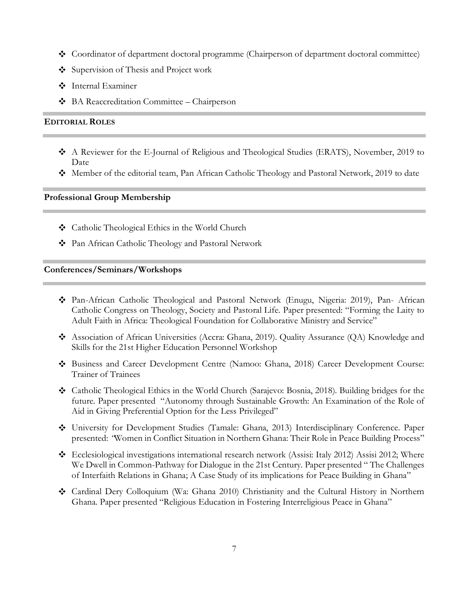- Coordinator of department doctoral programme (Chairperson of department doctoral committee)
- Supervision of Thesis and Project work
- Internal Examiner
- BA Reaccreditation Committee Chairperson

### **EDITORIAL ROLES**

- A Reviewer for the E-Journal of Religious and Theological Studies (ERATS), November, 2019 to Date
- Member of the editorial team, Pan African Catholic Theology and Pastoral Network, 2019 to date

# **Professional Group Membership**

- Catholic Theological Ethics in the World Church
- Pan African Catholic Theology and Pastoral Network

#### **Conferences/Seminars/Workshops**

- Pan-African Catholic Theological and Pastoral Network (Enugu, Nigeria: 2019), Pan- African Catholic Congress on Theology, Society and Pastoral Life. Paper presented: "Forming the Laity to Adult Faith in Africa: Theological Foundation for Collaborative Ministry and Service"
- Association of African Universities (Accra: Ghana, 2019). Quality Assurance (QA) Knowledge and Skills for the 21st Higher Education Personnel Workshop
- Business and Career Development Centre (Namoo: Ghana, 2018) Career Development Course: Trainer of Trainees
- Catholic Theological Ethics in the World Church (Sarajevo: Bosnia, 2018). Building bridges for the future. Paper presented "Autonomy through Sustainable Growth: An Examination of the Role of Aid in Giving Preferential Option for the Less Privileged"
- University for Development Studies (Tamale: Ghana, 2013) Interdisciplinary Conference. Paper presented: *"*Women in Conflict Situation in Northern Ghana: Their Role in Peace Building Process"
- Ecclesiological investigations international research network (Assisi: Italy 2012) Assisi 2012; Where We Dwell in Common-Pathway for Dialogue in the 21st Century. Paper presented " The Challenges of Interfaith Relations in Ghana; A Case Study of its implications for Peace Building in Ghana"
- Cardinal Dery Colloquium (Wa: Ghana 2010) Christianity and the Cultural History in Northern Ghana. Paper presented "Religious Education in Fostering Interreligious Peace in Ghana"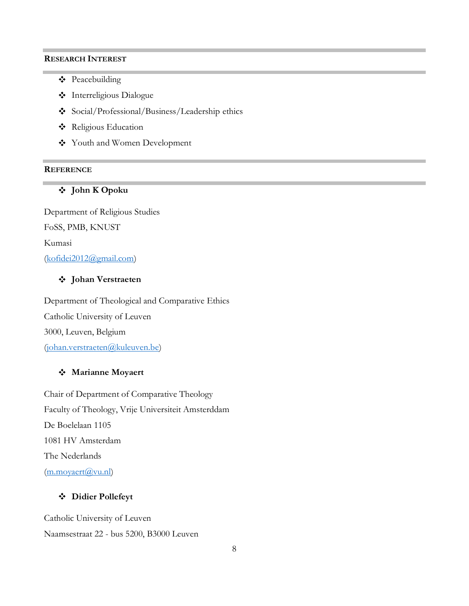#### **RESEARCH INTEREST**

- ❖ Peacebuilding
- Interreligious Dialogue
- Social/Professional/Business/Leadership ethics
- Religious Education
- Youth and Women Development

#### **REFERENCE**

# **John K Opoku**

Department of Religious Studies FoSS, PMB, KNUST Kumasi [\(kofidei2012@gmail.com\)](mailto:kofidei2012@gmail.com)

# **Johan Verstraeten**

Department of Theological and Comparative Ethics Catholic University of Leuven 3000, Leuven, Belgium [\(johan.verstraeten@kuleuven.be\)](mailto:johan.verstraeten@kuleuven.be)

### **Marianne Moyaert**

Chair of Department of Comparative Theology Faculty of Theology, Vrije Universiteit Amsterddam De Boelelaan 1105 1081 HV Amsterdam The Nederlands  $(m.movaert@vu.nl)$ 

## **Didier Pollefeyt**

Catholic University of Leuven Naamsestraat 22 - bus 5200, B3000 Leuven